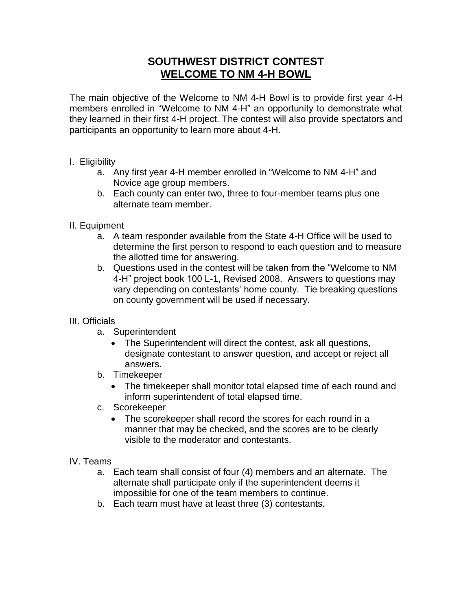## **SOUTHWEST DISTRICT CONTEST WELCOME TO NM 4-H BOWL**

The main objective of the Welcome to NM 4-H Bowl is to provide first year 4-H members enrolled in "Welcome to NM 4-H" an opportunity to demonstrate what they learned in their first 4-H project. The contest will also provide spectators and participants an opportunity to learn more about 4-H.

- I. Eligibility
	- a. Any first year 4-H member enrolled in "Welcome to NM 4-H" and Novice age group members.
	- b. Each county can enter two, three to four-member teams plus one alternate team member.
- II. Equipment
	- a. A team responder available from the State 4-H Office will be used to determine the first person to respond to each question and to measure the allotted time for answering.
	- b. Questions used in the contest will be taken from the "Welcome to NM 4-H" project book 100 L-1, Revised 2008. Answers to questions may vary depending on contestants' home county. Tie breaking questions on county government will be used if necessary.

## III. Officials

- a. Superintendent
	- The Superintendent will direct the contest, ask all questions, designate contestant to answer question, and accept or reject all answers.
- b. Timekeeper
	- The timekeeper shall monitor total elapsed time of each round and inform superintendent of total elapsed time.
- c. Scorekeeper
	- The scorekeeper shall record the scores for each round in a manner that may be checked, and the scores are to be clearly visible to the moderator and contestants.
- IV. Teams
	- a. Each team shall consist of four (4) members and an alternate. The alternate shall participate only if the superintendent deems it impossible for one of the team members to continue.
	- b. Each team must have at least three (3) contestants.